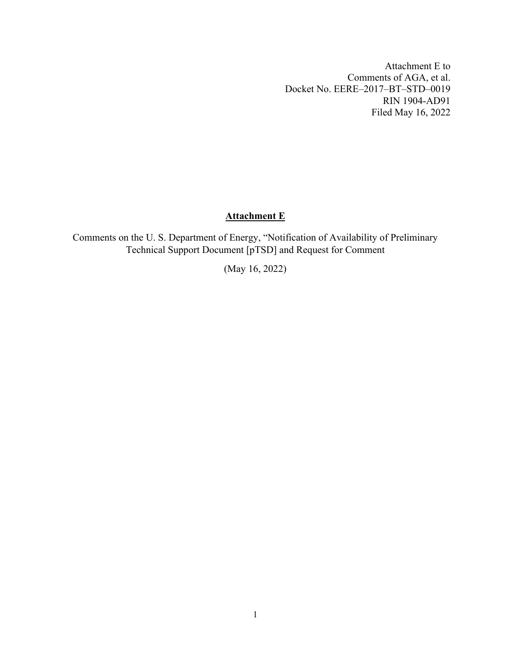Attachment E to Comments of AGA, et al. Docket No. EERE–2017–BT–STD–0019 RIN 1904-AD91 Filed May 16, 2022

# **Attachment E**

Comments on the U. S. Department of Energy, "Notification of Availability of Preliminary Technical Support Document [pTSD] and Request for Comment

(May 16, 2022)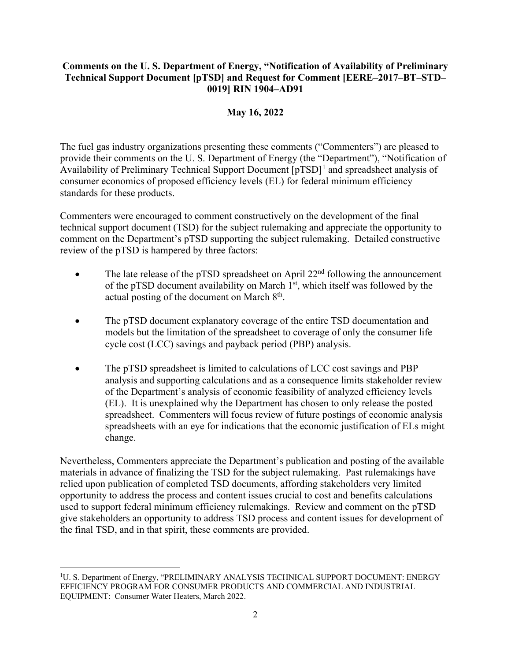## **Comments on the U. S. Department of Energy, "Notification of Availability of Preliminary Technical Support Document [pTSD] and Request for Comment [EERE–2017–BT–STD– 0019] RIN 1904–AD91**

## **May 16, 2022**

The fuel gas industry organizations presenting these comments ("Commenters") are pleased to provide their comments on the U. S. Department of Energy (the "Department"), "Notification of Availability of Preliminary Technical Support Document  $[pTSD]$ <sup>[1](#page-1-0)</sup> and spreadsheet analysis of consumer economics of proposed efficiency levels (EL) for federal minimum efficiency standards for these products.

Commenters were encouraged to comment constructively on the development of the final technical support document (TSD) for the subject rulemaking and appreciate the opportunity to comment on the Department's pTSD supporting the subject rulemaking. Detailed constructive review of the pTSD is hampered by three factors:

- The late release of the pTSD spreadsheet on April  $22<sup>nd</sup>$  following the announcement of the pTSD document availability on March  $1<sup>st</sup>$ , which itself was followed by the actual posting of the document on March 8<sup>th</sup>.
- The pTSD document explanatory coverage of the entire TSD documentation and models but the limitation of the spreadsheet to coverage of only the consumer life cycle cost (LCC) savings and payback period (PBP) analysis.
- The pTSD spreadsheet is limited to calculations of LCC cost savings and PBP analysis and supporting calculations and as a consequence limits stakeholder review of the Department's analysis of economic feasibility of analyzed efficiency levels (EL). It is unexplained why the Department has chosen to only release the posted spreadsheet. Commenters will focus review of future postings of economic analysis spreadsheets with an eye for indications that the economic justification of ELs might change.

Nevertheless, Commenters appreciate the Department's publication and posting of the available materials in advance of finalizing the TSD for the subject rulemaking. Past rulemakings have relied upon publication of completed TSD documents, affording stakeholders very limited opportunity to address the process and content issues crucial to cost and benefits calculations used to support federal minimum efficiency rulemakings. Review and comment on the pTSD give stakeholders an opportunity to address TSD process and content issues for development of the final TSD, and in that spirit, these comments are provided.

<span id="page-1-0"></span><sup>&</sup>lt;sup>1</sup>U. S. Department of Energy, "PRELIMINARY ANALYSIS TECHNICAL SUPPORT DOCUMENT: ENERGY EFFICIENCY PROGRAM FOR CONSUMER PRODUCTS AND COMMERCIAL AND INDUSTRIAL EQUIPMENT: Consumer Water Heaters, March 2022.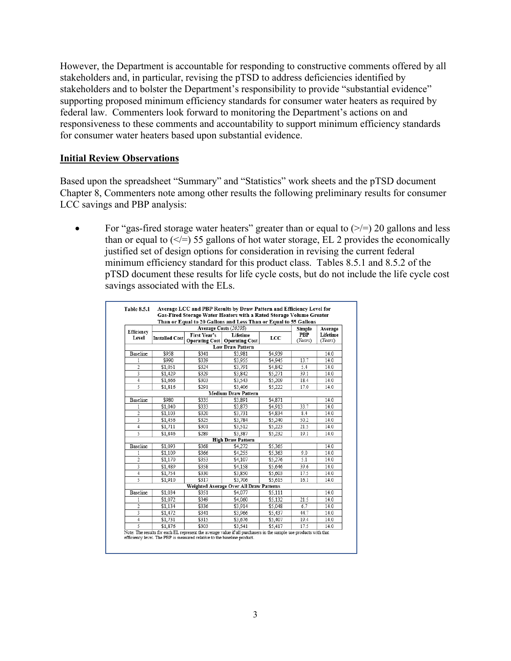However, the Department is accountable for responding to constructive comments offered by all stakeholders and, in particular, revising the pTSD to address deficiencies identified by stakeholders and to bolster the Department's responsibility to provide "substantial evidence" supporting proposed minimum efficiency standards for consumer water heaters as required by federal law. Commenters look forward to monitoring the Department's actions on and responsiveness to these comments and accountability to support minimum efficiency standards for consumer water heaters based upon substantial evidence.

#### **Initial Review Observations**

Based upon the spreadsheet "Summary" and "Statistics" work sheets and the pTSD document Chapter 8, Commenters note among other results the following preliminary results for consumer LCC savings and PBP analysis:

For "gas-fired storage water heaters" greater than or equal to  $(\geq)=$  20 gallons and less than or equal to  $(\leq)=$  55 gallons of hot water storage, EL 2 provides the economically justified set of design options for consideration in revising the current federal minimum efficiency standard for this product class. Tables 8.5.1 and 8.5.2 of the pTSD document these results for life cycle costs, but do not include the life cycle cost savings associated with the ELs.

|                |                       |              | Than or Equal to 20 Gallons and Less Than or Equal to 55 Gallons |         |                       |                     |
|----------------|-----------------------|--------------|------------------------------------------------------------------|---------|-----------------------|---------------------|
| Efficiency     |                       | Simple       | Average                                                          |         |                       |                     |
| Level          | <b>Installed Cost</b> | First Year's | Lifetime<br><b>Operating Cost   Operating Cost</b>               | LCC     | <b>PBP</b><br>(Years) | Lifetime<br>(Years) |
|                |                       |              | <b>Low Draw Pattern</b>                                          |         |                       |                     |
| Baseline       | \$958                 | \$341        | \$3,981                                                          | \$4,939 |                       | 14.0                |
| 1              | \$990                 | \$339        | \$3,955                                                          | \$4,945 | 13.7                  | 14.0                |
| $\overline{2}$ | \$1.051               | \$324        | \$3.791                                                          | \$4.842 | 5.4                   | 14.0                |
| 3              | \$1,429               | \$329        | \$3.842                                                          | \$5,271 | 39.1                  | 14.0                |
| 4              | \$1,666               | \$303        | \$3.543                                                          | \$5,209 | 18.4                  | 14.0                |
| 5              | \$1,816               | \$291        | \$3.406                                                          | \$5,222 | 17.0                  | 14.0                |
|                |                       |              | <b>Medium Draw Pattern</b>                                       |         |                       |                     |
| Baseline       | \$980                 | \$335        | \$3,891                                                          | \$4.871 |                       | 14.0                |
| 1              | \$1.040               | \$333        | \$3.873                                                          | \$4,913 | 33.7                  | 14.0                |
| 2              | \$1,103               | \$320        | \$3,731                                                          | \$4.834 | 8.4                   | 14.0                |
| 3              | \$1,456               | \$325        | \$3,784                                                          | \$5.240 | 50.2                  | 14.0                |
| $\overline{4}$ | \$1.711               | \$301        | \$3.512                                                          | \$5,223 | 21.5                  | 14.0                |
| 5              | \$1,846               | \$289        | \$3.387                                                          | \$5,232 | 19.1                  | 14.0                |
|                |                       |              | <b>High Draw Pattern</b>                                         |         |                       |                     |
| Baseline       | \$1.093               | \$368        | \$4,272                                                          | \$5.365 |                       | 14.0                |
| 1              | \$1,109               | \$366        | \$4,255                                                          | \$5,363 | 9.0                   | 14.0                |
| $\overline{c}$ | \$1,170               | \$353        | \$4,107                                                          | \$5,276 | 5.1                   | 14.0                |
| 3              | \$1.489               | \$358        | \$4,158                                                          | \$5,646 | 39.6                  | 14.0                |
| 4              | \$1,754               | \$330        | \$3,850                                                          | \$5,603 | 17.5                  | 14.0                |
| 5              | \$1,910               | \$317        | \$3.706                                                          | \$5,615 | 16.1                  | 14.0                |
|                |                       |              | Weighted Average Over All Draw Patterns                          |         |                       |                     |
| Baseline       | \$1,034               | \$351        | \$4,077                                                          | \$5.111 |                       | 14.0                |
| 1              | \$1.072               | \$349        | \$4,060                                                          | \$5.132 | 21.5                  | 14.0                |
| 2              | \$1.134               | \$336        | \$3.914                                                          | \$5,048 | 6.7                   | 14.0                |
| 3              | \$1,472               | \$341        | \$3,966                                                          | \$5,437 | 44.7                  | 14.0                |
| 4              | \$1,731               | \$315        | \$3,676                                                          | \$5,407 | 19.4                  | 14.0                |
| 5              | \$1.876               | \$303        | \$3.541                                                          | \$5,417 | 17.5                  | 14.0                |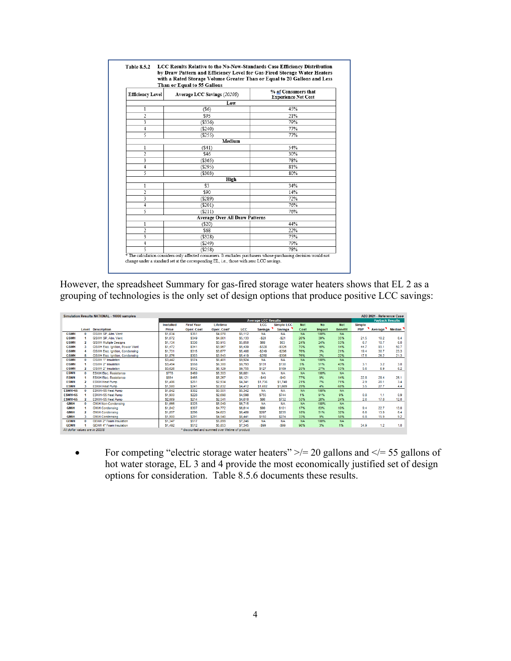|                         | with a Rated Storage Volume Greater Than or Equal to 20 Gallons and Less<br>Than or Equal to 55 Gallons |                                                   |
|-------------------------|---------------------------------------------------------------------------------------------------------|---------------------------------------------------|
| <b>Efficiency Level</b> | Average LCC Savings (2020\$)                                                                            | % of Consumers that<br><b>Experience Net Cost</b> |
|                         | Low                                                                                                     |                                                   |
| 1                       | (S6)                                                                                                    | 45%                                               |
| 2                       | \$95                                                                                                    | 21%                                               |
| 3                       | (S336)                                                                                                  | 79%                                               |
| 4                       | (S240)                                                                                                  | 77%                                               |
| 5                       | (S255)                                                                                                  | 77%                                               |
|                         | Medium                                                                                                  |                                                   |
| 1                       | $(\$41)$                                                                                                | 54%                                               |
| 2                       | \$46                                                                                                    | 30%                                               |
| 3                       | (S365)                                                                                                  | 78%                                               |
| 4                       | (S295)                                                                                                  | 81%                                               |
| 5                       | (S303)                                                                                                  | 80%                                               |
|                         | High                                                                                                    |                                                   |
| 1                       | \$3                                                                                                     | 34%                                               |
| $\overline{2}$          | \$90                                                                                                    | 14%                                               |
| 3                       | (S289)                                                                                                  | 72%                                               |
| 4                       | (S201)                                                                                                  | 76%                                               |
| 5                       | (S211)                                                                                                  | 76%                                               |
|                         | <b>Average Over All Draw Patterns</b>                                                                   |                                                   |
| 1                       | $(\$20)$                                                                                                | 44%                                               |
| 2                       | \$68                                                                                                    | 22%                                               |
| 3                       | (S328)                                                                                                  | 75%                                               |
| 4                       | (S249)                                                                                                  | 79%                                               |
| $\overline{\mathbf{S}}$ | (S258)                                                                                                  | 78%                                               |

However, the spreadsheet Summary for gas-fired storage water heaters shows that EL 2 as a grouping of technologies is the only set of design options that produce positive LCC savings:

| Simulation Results NATIONAL - 10000 samples |                |                                        |                  |                   |                                                  |                |                            |                   |            |               | AEO 2021 - Reference Case |               |                        |        |
|---------------------------------------------|----------------|----------------------------------------|------------------|-------------------|--------------------------------------------------|----------------|----------------------------|-------------------|------------|---------------|---------------------------|---------------|------------------------|--------|
|                                             |                |                                        |                  |                   |                                                  |                | <b>Average LCC Results</b> |                   |            |               |                           |               | <b>Payback Results</b> |        |
|                                             |                |                                        | <b>Installed</b> | <b>First Year</b> | Lifetime                                         |                | <b>LCC</b>                 | <b>Simple LCC</b> | <b>Net</b> | <b>No</b>     | <b>Net</b>                | <b>Simple</b> |                        |        |
|                                             | Level          | <b>Description</b>                     | Price            | <b>Oper, Cost</b> | Oper, Cost*                                      | <b>LCC</b>     | <b>Savings</b>             | <b>Savings</b>    | Cost       | <b>Impact</b> | <b>Benefit</b>            | <b>PBP</b>    | <b>Average</b>         | Median |
| <b>GSWH</b>                                 | $\Omega$       | <b>GSWH SP. Atm. Vent</b>              | \$1,034          | \$351             | \$4,078                                          | \$5,112        | <b>NA</b>                  | <b>NA</b>         | <b>NA</b>  | 100%          | <b>NA</b>                 |               |                        |        |
| <b>GSWH</b>                                 | 4              | <b>GSWH SP. Atm. Vent</b>              | \$1,072          | \$349             | \$4,061                                          | \$5,133        | $-520$                     | $-521$            | 26%        | 39%           | 35%                       | 21.5          | 102                    | 6.4    |
| <b>GSWH</b>                                 | 2              | <b>GSWH Multiple Designs</b>           | \$1,134          | \$336             | \$3,915                                          | \$5,050        | \$68                       | <b>S63</b>        | 24%        | 24%           | 53%                       | 6.7           | 10.7                   | 6.0    |
| <b>GSWH</b>                                 |                | <b>GSWH Elec. Ignition, Power Vent</b> | \$1,472          | \$341             | \$3,967                                          | \$5,439        | $-5328$                    | $-5326$           | 70%        | 16%           | 14%                       | 44.7          | 93.1                   | 50.7   |
| <b>GSWH</b>                                 | А              | <b>GSWH Elec. Ignition, Condensing</b> | \$1,731          | \$315             | \$3,677                                          | \$5,408        | $-5249$                    | $-5296$           | 76%        | 3%            | 21%                       | 19.4          | 30.7                   | 23.3   |
| <b>GSWH</b>                                 | Б              | <b>GSWH Elec. Ignition, Condensing</b> | \$1,876          | \$303             | \$3,543                                          | \$5,419        | $-5258$                    | $-5306$           | 76%        | 2%            | 22%                       | 17.5          | 26.2                   | 21.3   |
| <b>OSWH</b>                                 | $\theta$       | <b>OSWH 1" Insulation</b>              | \$3.442          | \$574             | S6.481                                           | \$9.924        | <b>NA</b>                  | <b>NA</b>         | <b>NA</b>  | 100%          | <b>NA</b>                 |               |                        |        |
| <b>OSWH</b>                                 |                | <b>OSWH 2" Insulation</b>              | \$3.494          | \$558             | \$6,300                                          | <b>S9.793</b>  | <b>S131</b>                | <b>S130</b>       | 5%         | 51%           | 43%                       | 3.1           | 3.2                    | 3.0    |
| <b>OSWH</b>                                 | 2              | <b>OSWH 2" Insulation</b>              | \$3.626          | \$542             | \$6,129                                          | \$9.755        | \$127                      | <b>S169</b>       | 20%        | 27%           | 53%                       | 5.6           | 6.9                    | 6.2    |
| <b>ESWH</b>                                 | $\Omega$       | <b>ESWH Elec. Resistance</b>           | <b>S778</b>      | <b>\$469</b>      | \$5,303                                          | <b>S6.081</b>  | <b>NA</b>                  | <b>NA</b>         | <b>NA</b>  | 100%          | <b>NA</b>                 |               |                        |        |
| <b>ESWH</b>                                 | ٠              | <b>ESWH Elec. Resistance</b>           | \$854            | <b>S465</b>       | \$5,267                                          | <b>S6.121</b>  | $-540$                     | $-540$            | 77%        | 9%            | 14%                       | 22.8          | 28.4                   | 26.1   |
| <b>ESWH</b>                                 | 2              | <b>ESWH Heat Pump</b>                  | \$1,406          | <b>\$251</b>      | \$2,934                                          | \$4,341        | \$1,736                    | \$1,740           | 21%        | 7%            | 71%                       | 2.9           | 20.1                   | 3,4    |
| <b>ESWH</b>                                 |                | <b>ESWH Heat Pump</b>                  | \$1,580          | \$241             | \$2,832                                          | \$4,412        | \$1,602                    | \$1,669           | 29%        | 4%            | 68%                       | 3.5           | 27.7                   | 4.4    |
| <b>ESWH&gt;55</b>                           | $\Omega$       | ESWH>55 Heat Pump                      | \$1,842          | \$302             | \$3,501                                          | \$5.342        | <b>NA</b>                  | <b>NA</b>         | <b>NA</b>  | 100%          | <b>NA</b>                 |               |                        |        |
| <b>ESWH&gt;55</b>                           |                | ESWH>55 Heat Pump                      | \$1,900          | \$228             | \$2,698                                          | \$4,598        | <b>S755</b>                | <b>S744</b>       | 1%         | 91%           | 9%                        | 0.8           | 11                     | 0.9    |
| <b>ESWH&gt;55</b>                           | 2              | ESWH>55 Heat Pump                      | \$2,069          | <b>\$214</b>      | \$2,541                                          | \$4,610        | <b>S86</b>                 | \$732             | 50%        | 26%           | 24%                       | 2.6           | 17.8                   | 12.0   |
| <b>GIWH</b>                                 | $\mathbf{0}$   | <b>GIVH Non-Condensing</b>             | \$1,666          | \$325             | \$5.049                                          | <b>S6.715</b>  | <b>NA</b>                  | <b>NA</b>         | <b>NA</b>  | 100%          | <b>NA</b>                 |               |                        |        |
| <b>GIWH</b>                                 | -1             | <b>GIVH Condensing</b>                 | \$1,842          | \$307             | \$4,772                                          | <b>\$6,614</b> | \$99                       | <b>S101</b>       | 17%        | 63%           | 19%                       | 94            | 22.7                   | 13.0   |
| <b>GIWH</b>                                 | $\overline{2}$ | <b>GIV/H Condensing</b>                | \$1,857          | <b>\$296</b>      | \$4,623                                          | <b>\$6,480</b> | <b>\$207</b>               | \$235             | 18%        | 51%           | 32%                       | 6.6           | 13.9                   | 6.4    |
| <b>GIWH</b>                                 |                | <b>GIV/H Condensing</b>                | \$1,900          | \$291             | \$4,540                                          | S6,441         | <b>S150</b>                | \$274             | 33%        | 9%            | 58%                       | 6.8           | 15.9                   | 9.2    |
| <b>GEWH</b>                                 | $\Omega$       | <b>GEWH 2" Foam Insulation</b>         | \$1,347          | <b>S517</b>       | \$5.899                                          | S7.246         | <b>NA</b>                  | <b>NA</b>         | <b>NA</b>  | 100%          | <b>NA</b>                 |               |                        |        |
| <b>GEWH</b>                                 |                | <b>GEWH 4" Foam Insulation</b>         | \$1,492          | \$512             | \$5,853                                          | \$7,345        | $-599$                     | $-599$            | 96%        | 3%            | 1%                        | 34.9          | 1.2                    | 1.0    |
| All dollar values are in 2020S.             |                |                                        |                  |                   | * discounted and summed over lifetime of product |                |                            |                   |            |               |                           |               |                        |        |

• For competing "electric storage water heaters"  $\ge$  /= 20 gallons and  $\lt$  = 55 gallons of hot water storage, EL 3 and 4 provide the most economically justified set of design options for consideration. Table 8.5.6 documents these results.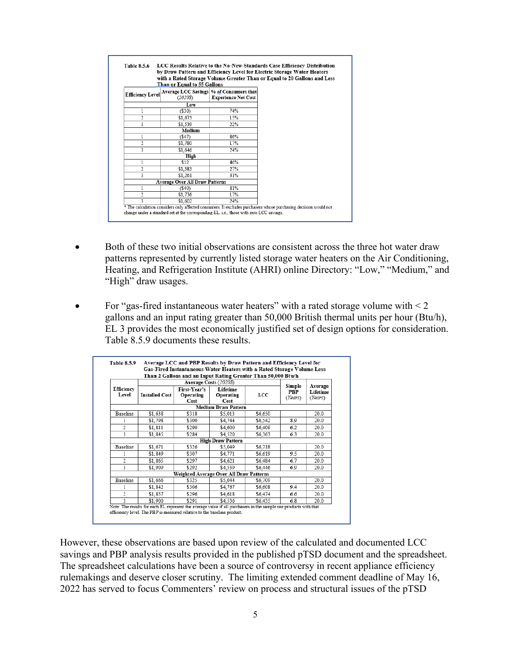|                | Than or Equal to 55 Gallons                                         |                            | with a Rated Storage Volume Greater Than or Equal to 20 Gallons and Less |
|----------------|---------------------------------------------------------------------|----------------------------|--------------------------------------------------------------------------|
|                | Efficiency Level Average LCC Savings % of Consumers that<br>(2020S) | <b>Experience Net Cost</b> |                                                                          |
|                | Low                                                                 |                            |                                                                          |
|                | $(\$30)$                                                            | 74%                        |                                                                          |
| $\overline{2}$ | \$1,673                                                             | 15%                        |                                                                          |
| 3              | \$1.539                                                             | 22%                        |                                                                          |
|                | Medium                                                              |                            |                                                                          |
|                | (\$47)                                                              | 86%                        |                                                                          |
| 2              | \$1,780                                                             | 17%                        |                                                                          |
| 3              | \$1,646                                                             | 24%                        |                                                                          |
|                | High                                                                |                            |                                                                          |
|                | \$12                                                                | 46%                        |                                                                          |
| $\overline{c}$ | \$1,383                                                             | 27%                        |                                                                          |
| 3              | \$1,261                                                             | 31%                        |                                                                          |
|                | <b>Average Over All Draw Patterns</b>                               |                            |                                                                          |
|                | (S40)                                                               | 81%                        |                                                                          |
| $\overline{c}$ | \$1,736                                                             | 17%                        |                                                                          |
| 3              | \$1.602                                                             | 24%                        |                                                                          |

- Both of these two initial observations are consistent across the three hot water draw patterns represented by currently listed storage water heaters on the Air Conditioning, Heating, and Refrigeration Institute (AHRI) online Directory: "Low," "Medium," and "High" draw usages.
- For "gas-fired instantaneous water heaters" with a rated storage volume with  $<$  2 gallons and an input rating greater than 50,000 British thermal units per hour (Btu/h), EL 3 provides the most economically justified set of design options for consideration. Table 8.5.9 documents these results.

|                     |                       | Average Costs (2020\$) | Than 2 Gallons and an Input Rating Greater Than 50,000 Btu/h |         |     |      |
|---------------------|-----------------------|------------------------|--------------------------------------------------------------|---------|-----|------|
|                     |                       | Simple                 | Average                                                      |         |     |      |
| Efficiency<br>Level | <b>Installed Cost</b> | PBP<br>(Years)         | Lifetime<br>(Years)                                          |         |     |      |
|                     |                       | Cost                   | Cost<br><b>Medium Draw Pattern</b>                           |         |     |      |
| <b>Baseline</b>     | \$1,638               | \$318                  | \$5,013                                                      | \$6,650 |     | 20.0 |
|                     | \$1,798               | \$300                  | \$4,744                                                      | \$6,542 | 8.9 | 20.0 |
| $\mathfrak{D}$      | \$1,811               | \$290                  | \$4,600                                                      | \$6,409 | 6.2 | 20.0 |
| 3                   | \$1,845               | \$284                  | \$4.520                                                      | \$6,363 | 6.3 | 20.0 |
|                     |                       |                        | <b>High Draw Pattern</b>                                     |         |     |      |
| Baseline            | \$1,671               | \$326                  | \$5,049                                                      | \$6,718 |     | 20.0 |
|                     | \$1,849               | \$307                  | \$4,771                                                      | \$6,619 | 9.5 | 20.0 |
| $\mathfrak{D}$      | \$1,865               | \$297                  | \$4,621                                                      | \$6,484 | 6.7 | 20.0 |
| 3                   | \$1,909               | \$292                  | \$4,539                                                      | \$6,446 | 69  | 20.0 |
|                     |                       |                        | Weighted Average Over All Draw Patterns                      |         |     |      |
| Baseline            | \$1.666               | \$325                  | \$5,044                                                      | \$6,709 |     | 20.0 |
|                     | \$1,842               | \$306                  | \$4,767                                                      | \$6,608 | 9.4 | 20.0 |
| $\mathfrak{D}$      | \$1,857               | \$296                  | \$4.618                                                      | \$6,474 | 6.6 | 20.0 |
| 3                   | \$1,900               | \$291                  | \$4,536                                                      | \$6,435 | 68  | 20.0 |

However, these observations are based upon review of the calculated and documented LCC savings and PBP analysis results provided in the published pTSD document and the spreadsheet. The spreadsheet calculations have been a source of controversy in recent appliance efficiency rulemakings and deserve closer scrutiny. The limiting extended comment deadline of May 16, 2022 has served to focus Commenters' review on process and structural issues of the pTSD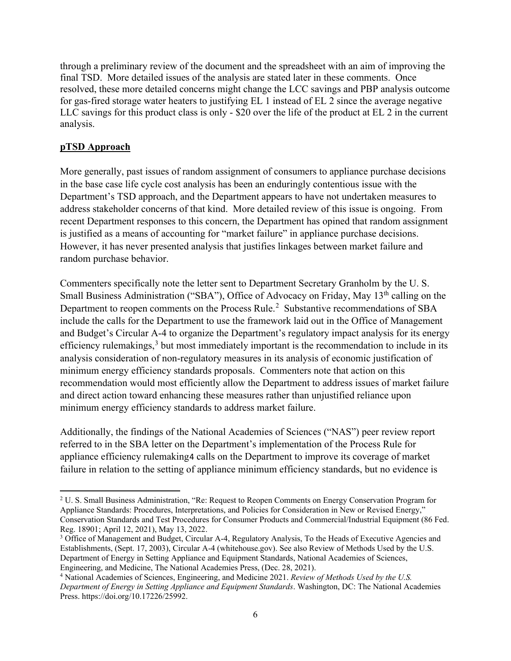through a preliminary review of the document and the spreadsheet with an aim of improving the final TSD. More detailed issues of the analysis are stated later in these comments. Once resolved, these more detailed concerns might change the LCC savings and PBP analysis outcome for gas-fired storage water heaters to justifying EL 1 instead of EL 2 since the average negative LLC savings for this product class is only - \$20 over the life of the product at EL 2 in the current analysis.

# **pTSD Approach**

More generally, past issues of random assignment of consumers to appliance purchase decisions in the base case life cycle cost analysis has been an enduringly contentious issue with the Department's TSD approach, and the Department appears to have not undertaken measures to address stakeholder concerns of that kind. More detailed review of this issue is ongoing. From recent Department responses to this concern, the Department has opined that random assignment is justified as a means of accounting for "market failure" in appliance purchase decisions. However, it has never presented analysis that justifies linkages between market failure and random purchase behavior.

Commenters specifically note the letter sent to Department Secretary Granholm by the U. S. Small Business Administration ("SBA"), Office of Advocacy on Friday, May 13<sup>th</sup> calling on the Department to reopen comments on the Process Rule.<sup>[2](#page-5-0)</sup> Substantive recommendations of SBA include the calls for the Department to use the framework laid out in the Office of Management and Budget's Circular A-4 to organize the Department's regulatory impact analysis for its energy efficiency rulemakings,<sup>[3](#page-5-1)</sup> but most immediately important is the recommendation to include in its analysis consideration of non-regulatory measures in its analysis of economic justification of minimum energy efficiency standards proposals. Commenters note that action on this recommendation would most efficiently allow the Department to address issues of market failure and direct action toward enhancing these measures rather than unjustified reliance upon minimum energy efficiency standards to address market failure.

Additionally, the findings of the National Academies of Sciences ("NAS") peer review report referred to in the SBA letter on the Department's implementation of the Process Rule for appliance efficiency rulemaking[4](#page-5-2) calls on the Department to improve its coverage of market failure in relation to the setting of appliance minimum efficiency standards, but no evidence is

<span id="page-5-0"></span><sup>&</sup>lt;sup>2</sup> U. S. Small Business Administration, "Re: Request to Reopen Comments on Energy Conservation Program for Appliance Standards: Procedures, Interpretations, and Policies for Consideration in New or Revised Energy," Conservation Standards and Test Procedures for Consumer Products and Commercial/Industrial Equipment (86 Fed. Reg. 18901; April 12, 2021), May 13, 2022.

<span id="page-5-1"></span><sup>&</sup>lt;sup>3</sup> Office of Management and Budget, Circular A-4, Regulatory Analysis, To the Heads of Executive Agencies and Establishments, (Sept. 17, 2003), Circular A-4 (whitehouse.gov). See also Review of Methods Used by the U.S. Department of Energy in Setting Appliance and Equipment Standards, National Academies of Sciences, Engineering, and Medicine, The National Academies Press, (Dec. 28, 2021).

<span id="page-5-2"></span><sup>4</sup> National Academies of Sciences, Engineering, and Medicine 2021. *Review of Methods Used by the U.S. Department of Energy in Setting Appliance and Equipment Standards*. Washington, DC: The National Academies Press. https://doi.org/10.17226/25992.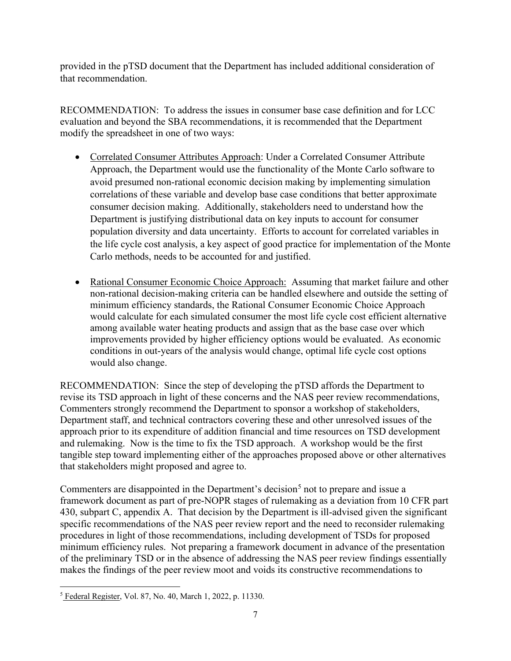provided in the pTSD document that the Department has included additional consideration of that recommendation.

RECOMMENDATION: To address the issues in consumer base case definition and for LCC evaluation and beyond the SBA recommendations, it is recommended that the Department modify the spreadsheet in one of two ways:

- Correlated Consumer Attributes Approach: Under a Correlated Consumer Attribute Approach, the Department would use the functionality of the Monte Carlo software to avoid presumed non-rational economic decision making by implementing simulation correlations of these variable and develop base case conditions that better approximate consumer decision making. Additionally, stakeholders need to understand how the Department is justifying distributional data on key inputs to account for consumer population diversity and data uncertainty. Efforts to account for correlated variables in the life cycle cost analysis, a key aspect of good practice for implementation of the Monte Carlo methods, needs to be accounted for and justified.
- Rational Consumer Economic Choice Approach: Assuming that market failure and other non-rational decision-making criteria can be handled elsewhere and outside the setting of minimum efficiency standards, the Rational Consumer Economic Choice Approach would calculate for each simulated consumer the most life cycle cost efficient alternative among available water heating products and assign that as the base case over which improvements provided by higher efficiency options would be evaluated. As economic conditions in out-years of the analysis would change, optimal life cycle cost options would also change.

RECOMMENDATION: Since the step of developing the pTSD affords the Department to revise its TSD approach in light of these concerns and the NAS peer review recommendations, Commenters strongly recommend the Department to sponsor a workshop of stakeholders, Department staff, and technical contractors covering these and other unresolved issues of the approach prior to its expenditure of addition financial and time resources on TSD development and rulemaking. Now is the time to fix the TSD approach. A workshop would be the first tangible step toward implementing either of the approaches proposed above or other alternatives that stakeholders might proposed and agree to.

Commenters are disappointed in the Department's decision<sup>[5](#page-6-0)</sup> not to prepare and issue a framework document as part of pre-NOPR stages of rulemaking as a deviation from 10 CFR part 430, subpart C, appendix A. That decision by the Department is ill-advised given the significant specific recommendations of the NAS peer review report and the need to reconsider rulemaking procedures in light of those recommendations, including development of TSDs for proposed minimum efficiency rules. Not preparing a framework document in advance of the presentation of the preliminary TSD or in the absence of addressing the NAS peer review findings essentially makes the findings of the peer review moot and voids its constructive recommendations to

<span id="page-6-0"></span><sup>5</sup> Federal Register, Vol. 87, No. 40, March 1, 2022, p. 11330.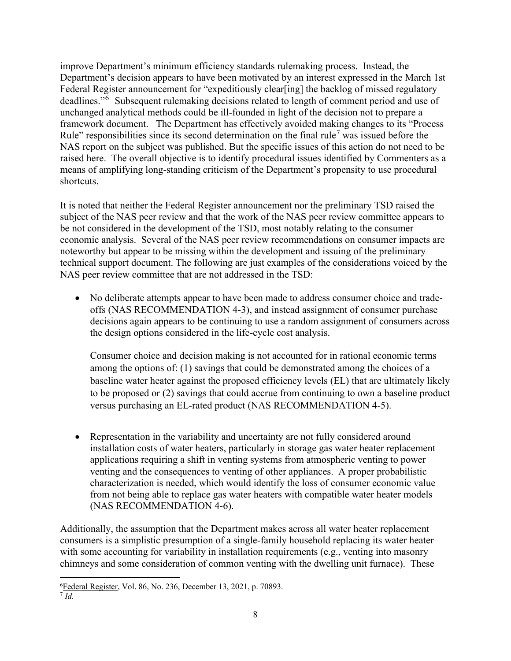improve Department's minimum efficiency standards rulemaking process. Instead, the Department's decision appears to have been motivated by an interest expressed in the March 1st Federal Register announcement for "expeditiously clear[ing] the backlog of missed regulatory deadlines."<sup>[6](#page-7-0)</sup> Subsequent rulemaking decisions related to length of comment period and use of unchanged analytical methods could be ill-founded in light of the decision not to prepare a framework document.The Department has effectively avoided making changes to its "Process Rule" responsibilities since its second determination on the final rule<sup>[7](#page-7-1)</sup> was issued before the NAS report on the subject was published. But the specific issues of this action do not need to be raised here. The overall objective is to identify procedural issues identified by Commenters as a means of amplifying long-standing criticism of the Department's propensity to use procedural shortcuts.

It is noted that neither the Federal Register announcement nor the preliminary TSD raised the subject of the NAS peer review and that the work of the NAS peer review committee appears to be not considered in the development of the TSD, most notably relating to the consumer economic analysis. Several of the NAS peer review recommendations on consumer impacts are noteworthy but appear to be missing within the development and issuing of the preliminary technical support document. The following are just examples of the considerations voiced by the NAS peer review committee that are not addressed in the TSD:

• No deliberate attempts appear to have been made to address consumer choice and tradeoffs (NAS RECOMMENDATION 4-3), and instead assignment of consumer purchase decisions again appears to be continuing to use a random assignment of consumers across the design options considered in the life-cycle cost analysis.

Consumer choice and decision making is not accounted for in rational economic terms among the options of: (1) savings that could be demonstrated among the choices of a baseline water heater against the proposed efficiency levels (EL) that are ultimately likely to be proposed or (2) savings that could accrue from continuing to own a baseline product versus purchasing an EL-rated product (NAS RECOMMENDATION 4-5).

• Representation in the variability and uncertainty are not fully considered around installation costs of water heaters, particularly in storage gas water heater replacement applications requiring a shift in venting systems from atmospheric venting to power venting and the consequences to venting of other appliances. A proper probabilistic characterization is needed, which would identify the loss of consumer economic value from not being able to replace gas water heaters with compatible water heater models (NAS RECOMMENDATION 4-6).

Additionally, the assumption that the Department makes across all water heater replacement consumers is a simplistic presumption of a single-family household replacing its water heater with some accounting for variability in installation requirements (e.g., venting into masonry chimneys and some consideration of common venting with the dwelling unit furnace). These

<span id="page-7-1"></span><span id="page-7-0"></span><sup>&</sup>lt;sup>6</sup> Federal Register, Vol. 86, No. 236, December 13, 2021, p. 70893.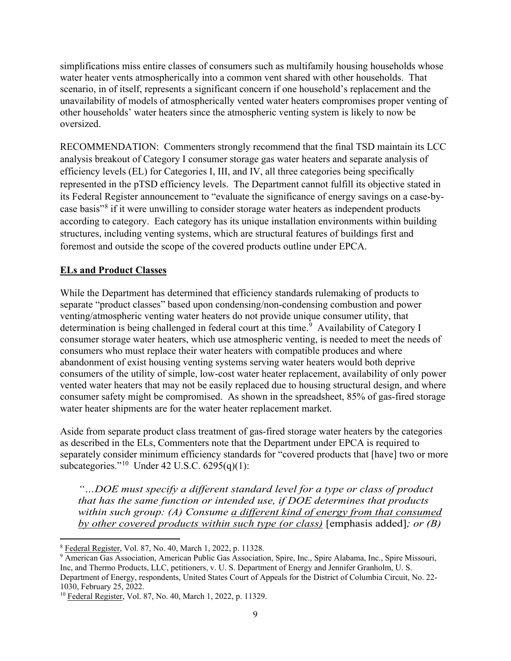simplifications miss entire classes of consumers such as multifamily housing households whose water heater vents atmospherically into a common vent shared with other households. That scenario, in of itself, represents a significant concern if one household's replacement and the unavailability of models of atmospherically vented water heaters compromises proper venting of other households' water heaters since the atmospheric venting system is likely to now be oversized.

RECOMMENDATION: Commenters strongly recommend that the final TSD maintain its LCC analysis breakout of Category I consumer storage gas water heaters and separate analysis of efficiency levels (EL) for Categories I, III, and IV, all three categories being specifically represented in the pTSD efficiency levels. The Department cannot fulfill its objective stated in its Federal Register announcement to "evaluate the significance of energy savings on a case-bycase basis"[8](#page-8-0) if it were unwilling to consider storage water heaters as independent products according to category. Each category has its unique installation environments within building structures, including venting systems, which are structural features of buildings first and foremost and outside the scope of the covered products outline under EPCA.

## **ELs and Product Classes**

While the Department has determined that efficiency standards rulemaking of products to separate "product classes" based upon condensing/non-condensing combustion and power venting/atmospheric venting water heaters do not provide unique consumer utility, that determination is being challenged in federal court at this time.<sup>[9](#page-8-1)</sup> Availability of Category I consumer storage water heaters, which use atmospheric venting, is needed to meet the needs of consumers who must replace their water heaters with compatible produces and where abandonment of exist housing venting systems serving water heaters would both deprive consumers of the utility of simple, low-cost water heater replacement, availability of only power vented water heaters that may not be easily replaced due to housing structural design, and where consumer safety might be compromised. As shown in the spreadsheet, 85% of gas-fired storage water heater shipments are for the water heater replacement market.

Aside from separate product class treatment of gas-fired storage water heaters by the categories as described in the ELs, Commenters note that the Department under EPCA is required to separately consider minimum efficiency standards for "covered products that [have] two or more subcategories."[10](#page-8-2) Under 42 U.S.C. 6295(q)(1):

*"…DOE must specify a different standard level for a type or class of product that has the same function or intended use, if DOE determines that products within such group: (A) Consume a different kind of energy from that consumed by other covered products within such type (or class)* [emphasis added]*; or (B)* 

<span id="page-8-0"></span><sup>8</sup> Federal Register, Vol. 87, No. 40, March 1, 2022, p. 11328.

<span id="page-8-1"></span><sup>&</sup>lt;sup>9</sup> American Gas Association, American Public Gas Association, Spire, Inc., Spire Alabama, Inc., Spire Missouri, Inc, and Thermo Products, LLC, petitioners, v. U. S. Department of Energy and Jennifer Granholm, U. S. Department of Energy, respondents, United States Court of Appeals for the District of Columbia Circuit, No. 22- 1030, February 25, 2022.

<span id="page-8-2"></span><sup>&</sup>lt;sup>10</sup> Federal Register, Vol. 87, No. 40, March 1, 2022, p. 11329.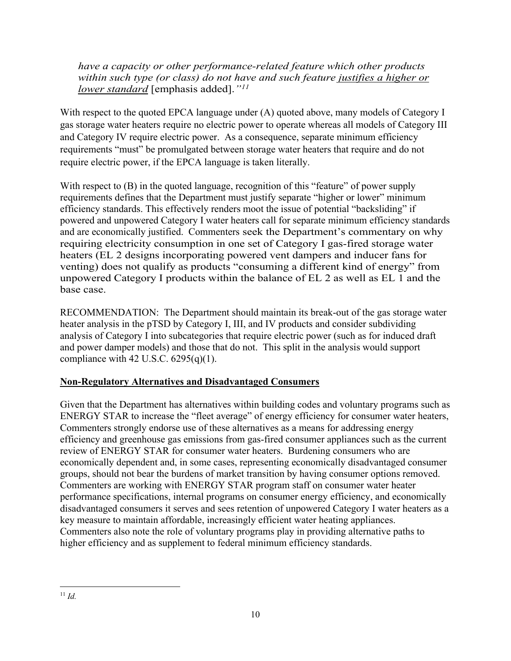*have a capacity or other performance-related feature which other products within such type (or class) do not have and such feature justifies a higher or lower standard* [emphasis added].*"[11](#page-9-0)*

With respect to the quoted EPCA language under (A) quoted above, many models of Category I gas storage water heaters require no electric power to operate whereas all models of Category III and Category IV require electric power. As a consequence, separate minimum efficiency requirements "must" be promulgated between storage water heaters that require and do not require electric power, if the EPCA language is taken literally.

With respect to (B) in the quoted language, recognition of this "feature" of power supply requirements defines that the Department must justify separate "higher or lower" minimum efficiency standards. This effectively renders moot the issue of potential "backsliding" if powered and unpowered Category I water heaters call for separate minimum efficiency standards and are economically justified. Commenters seek the Department's commentary on why requiring electricity consumption in one set of Category I gas-fired storage water heaters (EL 2 designs incorporating powered vent dampers and inducer fans for venting) does not qualify as products "consuming a different kind of energy" from unpowered Category I products within the balance of EL 2 as well as EL 1 and the base case.

RECOMMENDATION: The Department should maintain its break-out of the gas storage water heater analysis in the pTSD by Category I, III, and IV products and consider subdividing analysis of Category I into subcategories that require electric power (such as for induced draft and power damper models) and those that do not. This split in the analysis would support compliance with 42 U.S.C.  $6295(q)(1)$ .

# **Non-Regulatory Alternatives and Disadvantaged Consumers**

<span id="page-9-0"></span>Given that the Department has alternatives within building codes and voluntary programs such as ENERGY STAR to increase the "fleet average" of energy efficiency for consumer water heaters, Commenters strongly endorse use of these alternatives as a means for addressing energy efficiency and greenhouse gas emissions from gas-fired consumer appliances such as the current review of ENERGY STAR for consumer water heaters. Burdening consumers who are economically dependent and, in some cases, representing economically disadvantaged consumer groups, should not bear the burdens of market transition by having consumer options removed. Commenters are working with ENERGY STAR program staff on consumer water heater performance specifications, internal programs on consumer energy efficiency, and economically disadvantaged consumers it serves and sees retention of unpowered Category I water heaters as a key measure to maintain affordable, increasingly efficient water heating appliances. Commenters also note the role of voluntary programs play in providing alternative paths to higher efficiency and as supplement to federal minimum efficiency standards.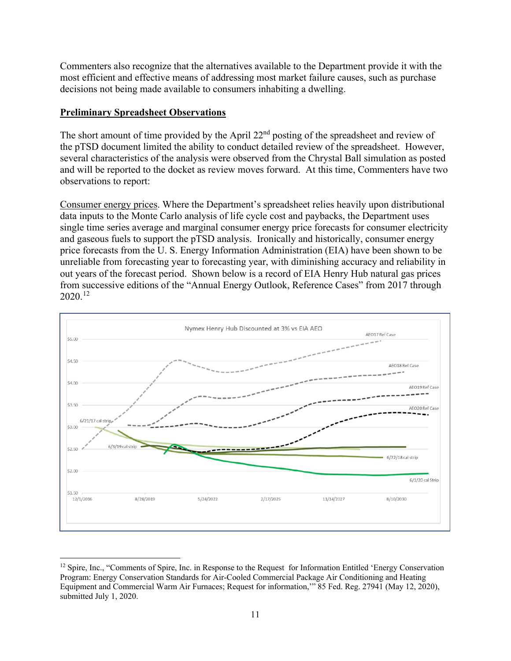Commenters also recognize that the alternatives available to the Department provide it with the most efficient and effective means of addressing most market failure causes, such as purchase decisions not being made available to consumers inhabiting a dwelling.

### **Preliminary Spreadsheet Observations**

The short amount of time provided by the April  $22<sup>nd</sup>$  posting of the spreadsheet and review of the pTSD document limited the ability to conduct detailed review of the spreadsheet. However, several characteristics of the analysis were observed from the Chrystal Ball simulation as posted and will be reported to the docket as review moves forward. At this time, Commenters have two observations to report:

Consumer energy prices. Where the Department's spreadsheet relies heavily upon distributional data inputs to the Monte Carlo analysis of life cycle cost and paybacks, the Department uses single time series average and marginal consumer energy price forecasts for consumer electricity and gaseous fuels to support the pTSD analysis. Ironically and historically, consumer energy price forecasts from the U. S. Energy Information Administration (EIA) have been shown to be unreliable from forecasting year to forecasting year, with diminishing accuracy and reliability in out years of the forecast period. Shown below is a record of EIA Henry Hub natural gas prices from successive editions of the "Annual Energy Outlook, Reference Cases" from 2017 through 2020.[12](#page-10-0)



<span id="page-10-0"></span><sup>&</sup>lt;sup>12</sup> Spire, Inc., "Comments of Spire, Inc. in Response to the Request for Information Entitled 'Energy Conservation Program: Energy Conservation Standards for Air-Cooled Commercial Package Air Conditioning and Heating Equipment and Commercial Warm Air Furnaces; Request for information,'" 85 Fed. Reg. 27941 (May 12, 2020), submitted July 1, 2020.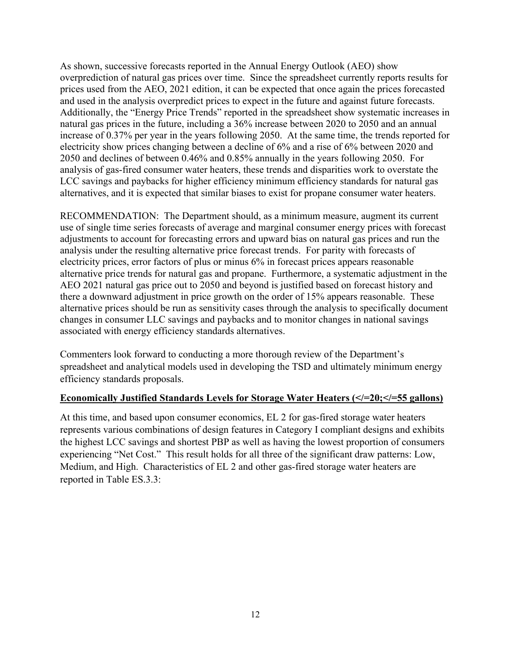As shown, successive forecasts reported in the Annual Energy Outlook (AEO) show overprediction of natural gas prices over time. Since the spreadsheet currently reports results for prices used from the AEO, 2021 edition, it can be expected that once again the prices forecasted and used in the analysis overpredict prices to expect in the future and against future forecasts. Additionally, the "Energy Price Trends" reported in the spreadsheet show systematic increases in natural gas prices in the future, including a 36% increase between 2020 to 2050 and an annual increase of 0.37% per year in the years following 2050. At the same time, the trends reported for electricity show prices changing between a decline of 6% and a rise of 6% between 2020 and 2050 and declines of between 0.46% and 0.85% annually in the years following 2050. For analysis of gas-fired consumer water heaters, these trends and disparities work to overstate the LCC savings and paybacks for higher efficiency minimum efficiency standards for natural gas alternatives, and it is expected that similar biases to exist for propane consumer water heaters.

RECOMMENDATION: The Department should, as a minimum measure, augment its current use of single time series forecasts of average and marginal consumer energy prices with forecast adjustments to account for forecasting errors and upward bias on natural gas prices and run the analysis under the resulting alternative price forecast trends. For parity with forecasts of electricity prices, error factors of plus or minus 6% in forecast prices appears reasonable alternative price trends for natural gas and propane. Furthermore, a systematic adjustment in the AEO 2021 natural gas price out to 2050 and beyond is justified based on forecast history and there a downward adjustment in price growth on the order of 15% appears reasonable. These alternative prices should be run as sensitivity cases through the analysis to specifically document changes in consumer LLC savings and paybacks and to monitor changes in national savings associated with energy efficiency standards alternatives.

Commenters look forward to conducting a more thorough review of the Department's spreadsheet and analytical models used in developing the TSD and ultimately minimum energy efficiency standards proposals.

## **Economically Justified Standards Levels for Storage Water Heaters (</=20;</=55 gallons)**

At this time, and based upon consumer economics, EL 2 for gas-fired storage water heaters represents various combinations of design features in Category I compliant designs and exhibits the highest LCC savings and shortest PBP as well as having the lowest proportion of consumers experiencing "Net Cost." This result holds for all three of the significant draw patterns: Low, Medium, and High. Characteristics of EL 2 and other gas-fired storage water heaters are reported in Table ES.3.3: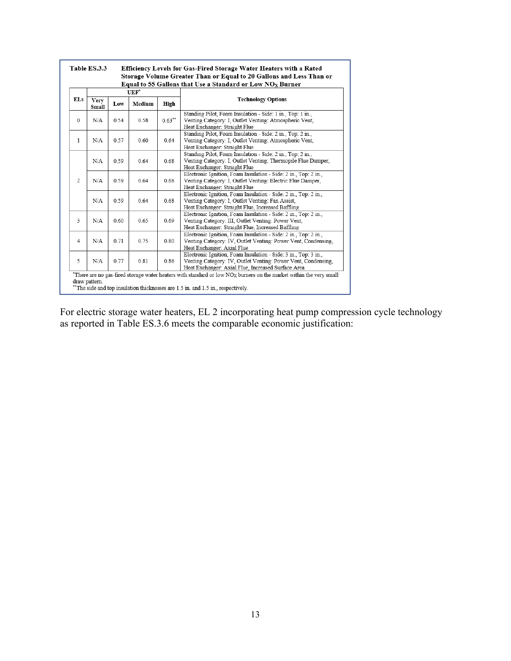| <b>ELs</b>     |                      |      | $UEF*$ |           |                                                                                                                                                                                        |
|----------------|----------------------|------|--------|-----------|----------------------------------------------------------------------------------------------------------------------------------------------------------------------------------------|
|                | <b>Very</b><br>Small | Low  | Medium | High      | <b>Technology Options</b>                                                                                                                                                              |
| $\mathbf{0}$   | N/A                  | 0.54 | 0.58   | $0.63***$ | Standing Pilot, Foam Insulation - Side: 1 in., Top: 1 in.,<br>Venting Category: I, Outlet Venting: Atmospheric Vent,<br>Heat Exchanger: Straight Flue                                  |
| $\mathbf{1}$   | N/A                  | 0.57 | 0.60   | 0.64      | Standing Pilot, Foam Insulation - Side: 2 in., Top: 2 in.,<br>Venting Category: I, Outlet Venting: Atmospheric Vent,<br>Heat Exchanger: Straight Flue                                  |
|                | N/A                  | 0.59 | 0.64   | 0.68      | Standing Pilot, Foam Insulation - Side: 2 in., Top: 2 in.,<br>Venting Category: I, Outlet Venting: Thermopile Flue Damper,<br>Heat Exchanger: Straight Flue                            |
| $\overline{2}$ | N/A                  | 0.59 | 0.64   | 0.68      | Electronic Ignition, Foam Insulation - Side: 2 in., Top: 2 in.,<br>Venting Category: I, Outlet Venting: Electric Flue Damper,<br>Heat Exchanger: Straight Flue                         |
|                | N/A                  | 0.59 | 0.64   | 0.68      | Electronic Ignition, Foam Insulation - Side: 2 in., Top: 2 in.,<br>Venting Category: I, Outlet Venting: Fan Assist,<br>Heat Exchanger: Straight Flue, Increased Baffling               |
| 3              | N/A                  | 0.60 | 0.65   | 0.69      | Electronic Ignition, Foam Insulation - Side: 2 in., Top: 2 in.,<br>Venting Category: III, Outlet Venting: Power Vent,<br>Heat Exchanger: Straight Flue, Increased Baffling             |
| $\overline{4}$ | N/A                  | 0.71 | 0.75   | 0.80      | Electronic Ignition, Foam Insulation - Side: 2 in., Top: 2 in.,<br>Venting Category: IV, Outlet Venting: Power Vent, Condensing,<br>Heat Exchanger: Axial Flue                         |
| 5              | N/A                  | 0.77 | 0.81   | 0.86      | Electronic Ignition, Foam Insulation - Side: 3 in., Top: 3 in.,<br>Venting Category: IV, Outlet Venting: Power Vent, Condensing,<br>Heat Exchanger: Axial Flue, Increased Surface Area |

For electric storage water heaters, EL 2 incorporating heat pump compression cycle technology as reported in Table ES.3.6 meets the comparable economic justification: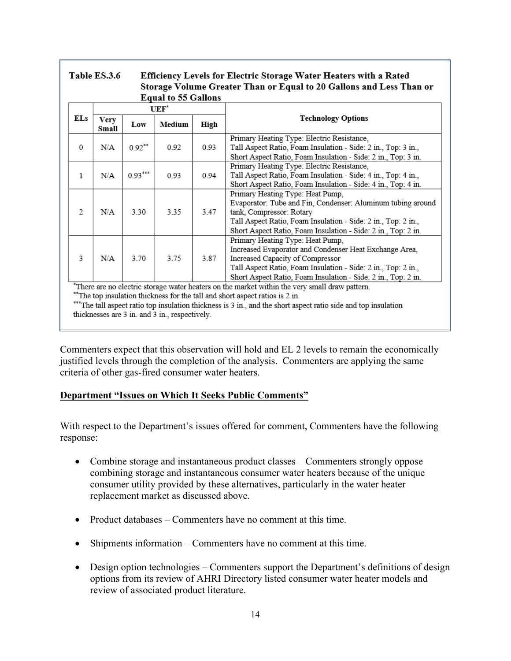#### Table ES.3.6 Efficiency Levels for Electric Storage Water Heaters with a Rated Storage Volume Greater Than or Equal to 20 Gallons and Less Than or  $1.6501$

|          |                      |                                                                                                                                                                                                                                                                                                                                                    | Equal to 33 Gallons |      |                                                                                                                                                                                                                                                                  |  |  |  |  |
|----------|----------------------|----------------------------------------------------------------------------------------------------------------------------------------------------------------------------------------------------------------------------------------------------------------------------------------------------------------------------------------------------|---------------------|------|------------------------------------------------------------------------------------------------------------------------------------------------------------------------------------------------------------------------------------------------------------------|--|--|--|--|
|          |                      |                                                                                                                                                                                                                                                                                                                                                    | $UEF^*$             |      |                                                                                                                                                                                                                                                                  |  |  |  |  |
| ELs      | <b>Very</b><br>Small | Low                                                                                                                                                                                                                                                                                                                                                | Medium              | High | <b>Technology Options</b>                                                                                                                                                                                                                                        |  |  |  |  |
| $\Omega$ | N/A                  | $0.92***$                                                                                                                                                                                                                                                                                                                                          | 0.92                | 0.93 | Primary Heating Type: Electric Resistance,<br>Tall Aspect Ratio, Foam Insulation - Side: 2 in., Top: 3 in.,<br>Short Aspect Ratio, Foam Insulation - Side: 2 in., Top: 3 in.                                                                                     |  |  |  |  |
| 1        | N/A                  | $0.93***$                                                                                                                                                                                                                                                                                                                                          | 0.93                | 0.94 | Primary Heating Type: Electric Resistance,<br>Tall Aspect Ratio, Foam Insulation - Side: 4 in., Top: 4 in.,<br>Short Aspect Ratio, Foam Insulation - Side: 4 in., Top: 4 in.                                                                                     |  |  |  |  |
| 2        | N/A                  | 3.30                                                                                                                                                                                                                                                                                                                                               | 3.35                | 3.47 | Primary Heating Type: Heat Pump,<br>Evaporator: Tube and Fin, Condenser: Aluminum tubing around<br>tank, Compressor: Rotary<br>Tall Aspect Ratio, Foam Insulation - Side: 2 in., Top: 2 in.,<br>Short Aspect Ratio, Foam Insulation - Side: 2 in., Top: 2 in.    |  |  |  |  |
| 3        | N/A                  | 3.70                                                                                                                                                                                                                                                                                                                                               | 3.75                | 3.87 | Primary Heating Type: Heat Pump,<br>Increased Evaporator and Condenser Heat Exchange Area,<br>Increased Capacity of Compressor<br>Tall Aspect Ratio, Foam Insulation - Side: 2 in., Top: 2 in.,<br>Short Aspect Ratio, Foam Insulation - Side: 2 in., Top: 2 in. |  |  |  |  |
|          |                      | *There are no electric storage water heaters on the market within the very small draw pattern.<br>**The top insulation thickness for the tall and short aspect ratios is 2 in.<br>***The tall aspect ratio top insulation thickness is 3 in., and the short aspect ratio side and top insulation<br>thicknesses are 3 in. and 3 in., respectively. |                     |      |                                                                                                                                                                                                                                                                  |  |  |  |  |

Commenters expect that this observation will hold and EL 2 levels to remain the economically

justified levels through the completion of the analysis. Commenters are applying the same criteria of other gas-fired consumer water heaters.

# **Department "Issues on Which It Seeks Public Comments"**

With respect to the Department's issues offered for comment, Commenters have the following response:

- Combine storage and instantaneous product classes Commenters strongly oppose combining storage and instantaneous consumer water heaters because of the unique consumer utility provided by these alternatives, particularly in the water heater replacement market as discussed above.
- Product databases Commenters have no comment at this time.
- Shipments information Commenters have no comment at this time.
- Design option technologies Commenters support the Department's definitions of design options from its review of AHRI Directory listed consumer water heater models and review of associated product literature.